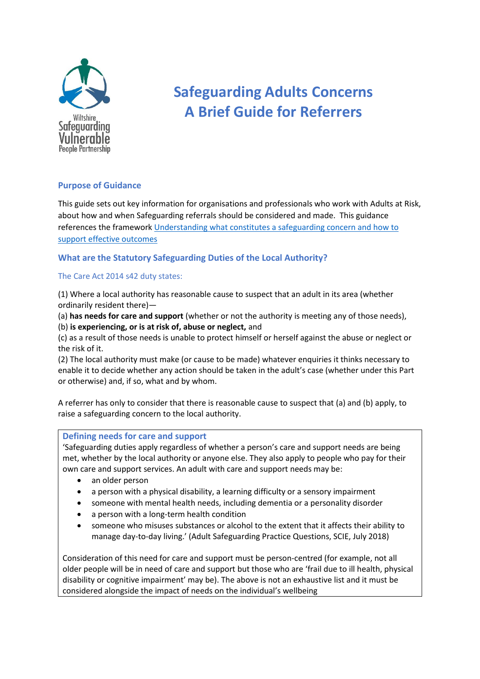

# **Safeguarding Adults Concerns A Brief Guide for Referrers**

# **Purpose of Guidance**

This guide sets out key information for organisations and professionals who work with Adults at Risk, about how and when Safeguarding referrals should be considered and made. This guidance references the framework [Understanding what constitutes a safeguarding concern and how to](https://www.local.gov.uk/publications/understanding-what-constitutes-safeguarding-concern-and-how-support-effective-outcomes)  [support effective outcomes](https://www.local.gov.uk/publications/understanding-what-constitutes-safeguarding-concern-and-how-support-effective-outcomes)

# **What are the Statutory Safeguarding Duties of the Local Authority?**

#### The Care Act 2014 s42 duty states:

(1) Where a local authority has reasonable cause to suspect that an adult in its area (whether ordinarily resident there)—

(a) **has needs for care and support** (whether or not the authority is meeting any of those needs), (b) **is experiencing, or is at risk of, abuse or neglect,** and

(c) as a result of those needs is unable to protect himself or herself against the abuse or neglect or the risk of it.

(2) The local authority must make (or cause to be made) whatever enquiries it thinks necessary to enable it to decide whether any action should be taken in the adult's case (whether under this Part or otherwise) and, if so, what and by whom.

A referrer has only to consider that there is reasonable cause to suspect that (a) and (b) apply, to raise a safeguarding concern to the local authority.

#### **Defining needs for care and support**

'Safeguarding duties apply regardless of whether a person's care and support needs are being met, whether by the local authority or anyone else. They also apply to people who pay for their own care and support services. An adult with care and support needs may be:

- an older person
- a person with a physical disability, a learning difficulty or a sensory impairment
- someone with mental health needs, including dementia or a personality disorder
- a person with a long-term health condition
- someone who misuses substances or alcohol to the extent that it affects their ability to manage day-to-day living.' (Adult Safeguarding Practice Questions, SCIE, July 2018)

Consideration of this need for care and support must be person-centred (for example, not all older people will be in need of care and support but those who are 'frail due to ill health, physical disability or cognitive impairment' may be). The above is not an exhaustive list and it must be considered alongside the impact of needs on the individual's wellbeing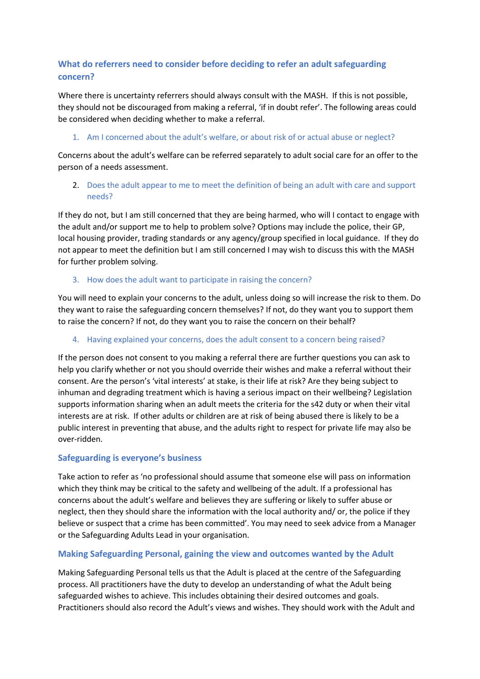# **What do referrers need to consider before deciding to refer an adult safeguarding concern?**

Where there is uncertainty referrers should always consult with the MASH. If this is not possible, they should not be discouraged from making a referral, 'if in doubt refer'. The following areas could be considered when deciding whether to make a referral.

## 1. Am I concerned about the adult's welfare, or about risk of or actual abuse or neglect?

Concerns about the adult's welfare can be referred separately to adult social care for an offer to the person of a needs assessment.

## 2. Does the adult appear to me to meet the definition of being an adult with care and support needs?

If they do not, but I am still concerned that they are being harmed, who will I contact to engage with the adult and/or support me to help to problem solve? Options may include the police, their GP, local housing provider, trading standards or any agency/group specified in local guidance. If they do not appear to meet the definition but I am still concerned I may wish to discuss this with the MASH for further problem solving.

## 3. How does the adult want to participate in raising the concern?

You will need to explain your concerns to the adult, unless doing so will increase the risk to them. Do they want to raise the safeguarding concern themselves? If not, do they want you to support them to raise the concern? If not, do they want you to raise the concern on their behalf?

## 4. Having explained your concerns, does the adult consent to a concern being raised?

If the person does not consent to you making a referral there are further questions you can ask to help you clarify whether or not you should override their wishes and make a referral without their consent. Are the person's 'vital interests' at stake, is their life at risk? Are they being subject to inhuman and degrading treatment which is having a serious impact on their wellbeing? Legislation supports information sharing when an adult meets the criteria for the s42 duty or when their vital interests are at risk. If other adults or children are at risk of being abused there is likely to be a public interest in preventing that abuse, and the adults right to respect for private life may also be over-ridden.

# **Safeguarding is everyone's business**

Take action to refer as 'no professional should assume that someone else will pass on information which they think may be critical to the safety and wellbeing of the adult. If a professional has concerns about the adult's welfare and believes they are suffering or likely to suffer abuse or neglect, then they should share the information with the local authority and/ or, the police if they believe or suspect that a crime has been committed'. You may need to seek advice from a Manager or the Safeguarding Adults Lead in your organisation.

# **Making Safeguarding Personal, gaining the view and outcomes wanted by the Adult**

Making Safeguarding Personal tells us that the Adult is placed at the centre of the Safeguarding process. All practitioners have the duty to develop an understanding of what the Adult being safeguarded wishes to achieve. This includes obtaining their desired outcomes and goals. Practitioners should also record the Adult's views and wishes. They should work with the Adult and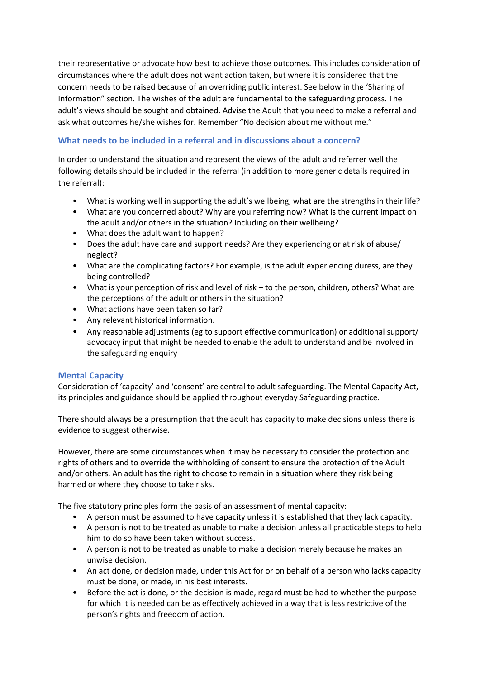their representative or advocate how best to achieve those outcomes. This includes consideration of circumstances where the adult does not want action taken, but where it is considered that the concern needs to be raised because of an overriding public interest. See below in the 'Sharing of Information" section. The wishes of the adult are fundamental to the safeguarding process. The adult's views should be sought and obtained. Advise the Adult that you need to make a referral and ask what outcomes he/she wishes for. Remember "No decision about me without me."

# **What needs to be included in a referral and in discussions about a concern?**

In order to understand the situation and represent the views of the adult and referrer well the following details should be included in the referral (in addition to more generic details required in the referral):

- What is working well in supporting the adult's wellbeing, what are the strengths in their life?
- What are you concerned about? Why are you referring now? What is the current impact on the adult and/or others in the situation? Including on their wellbeing?
- What does the adult want to happen?
- Does the adult have care and support needs? Are they experiencing or at risk of abuse/ neglect?
- What are the complicating factors? For example, is the adult experiencing duress, are they being controlled?
- What is your perception of risk and level of risk to the person, children, others? What are the perceptions of the adult or others in the situation?
- What actions have been taken so far?
- Any relevant historical information.
- Any reasonable adjustments (eg to support effective communication) or additional support/ advocacy input that might be needed to enable the adult to understand and be involved in the safeguarding enquiry

# **Mental Capacity**

Consideration of 'capacity' and 'consent' are central to adult safeguarding. The Mental Capacity Act, its principles and guidance should be applied throughout everyday Safeguarding practice.

There should always be a presumption that the adult has capacity to make decisions unless there is evidence to suggest otherwise.

However, there are some circumstances when it may be necessary to consider the protection and rights of others and to override the withholding of consent to ensure the protection of the Adult and/or others. An adult has the right to choose to remain in a situation where they risk being harmed or where they choose to take risks.

The five statutory principles form the basis of an assessment of mental capacity:

- A person must be assumed to have capacity unless it is established that they lack capacity.
- A person is not to be treated as unable to make a decision unless all practicable steps to help him to do so have been taken without success.
- A person is not to be treated as unable to make a decision merely because he makes an unwise decision.
- An act done, or decision made, under this Act for or on behalf of a person who lacks capacity must be done, or made, in his best interests.
- Before the act is done, or the decision is made, regard must be had to whether the purpose for which it is needed can be as effectively achieved in a way that is less restrictive of the person's rights and freedom of action.